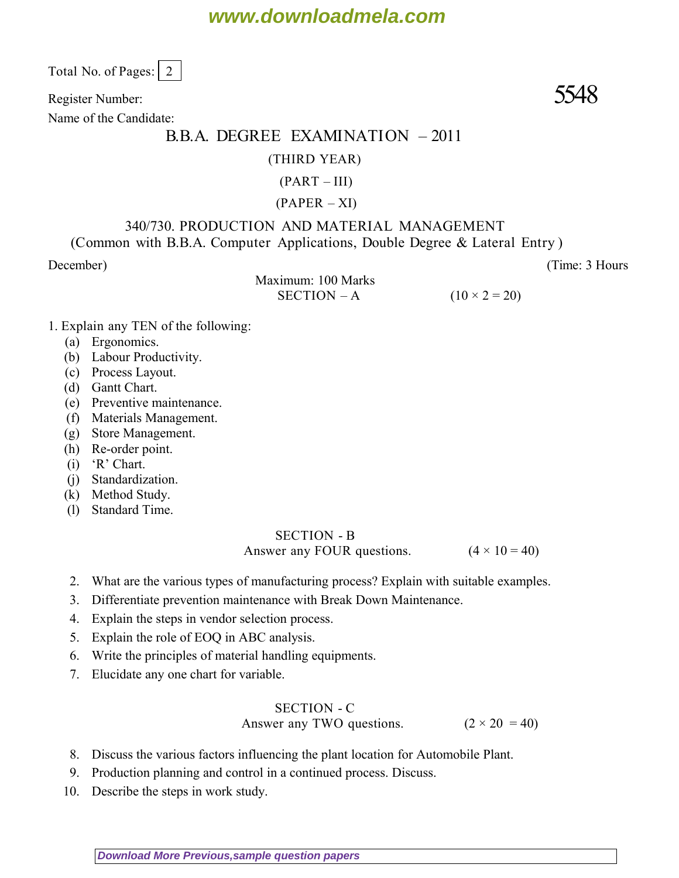# **www.downloadmela.com**

Total No. of Pages:  $\vert 2 \vert$ 

Register Number: 5548

Name of the Candidate:

# B.B.A. DEGREE EXAMINATION – 2011

#### (THIRD YEAR)

## $(PART - III)$

### $(PAPER - XI)$

#### 340/730. PRODUCTION AND MATERIAL MANAGEMENT (Common with B.B.A. Computer Applications, Double Degree & Lateral Entry )

*December*) (*Time: 3 Hours*

Maximum: 100 Marks SECTION – A  $(10 \times 2 = 20)$ 

- *1. Explain any TEN of the following:*
	- (a) Ergonomics.
	- (b) Labour Productivity.
	- (c) Process Layout.
	- (d) Gantt Chart.
	- (e) Preventive maintenance.
	- (f) Materials Management.
	- (g) Store Management.
	- (h) Re-order point.
	- (i) 'R' Chart.
	- (j) Standardization.
	- (k) Method Study.
	- (l) Standard Time.

### SECTION - B Answer any FOUR questions.  $(4 \times 10 = 40)$

- 2. What are the various types of manufacturing process? Explain with suitable examples.
- 3. Differentiate prevention maintenance with Break Down Maintenance.
- 4. Explain the steps in vendor selection process.
- 5. Explain the role of EOQ in ABC analysis.
- 6. Write the principles of material handling equipments.
- 7. Elucidate any one chart for variable.

### SECTION - C

## Answer any TWO questions.  $(2 \times 20 = 40)$

- 8. Discuss the various factors influencing the plant location for Automobile Plant.
- 9. Production planning and control in a continued process. Discuss.
- 10. Describe the steps in work study.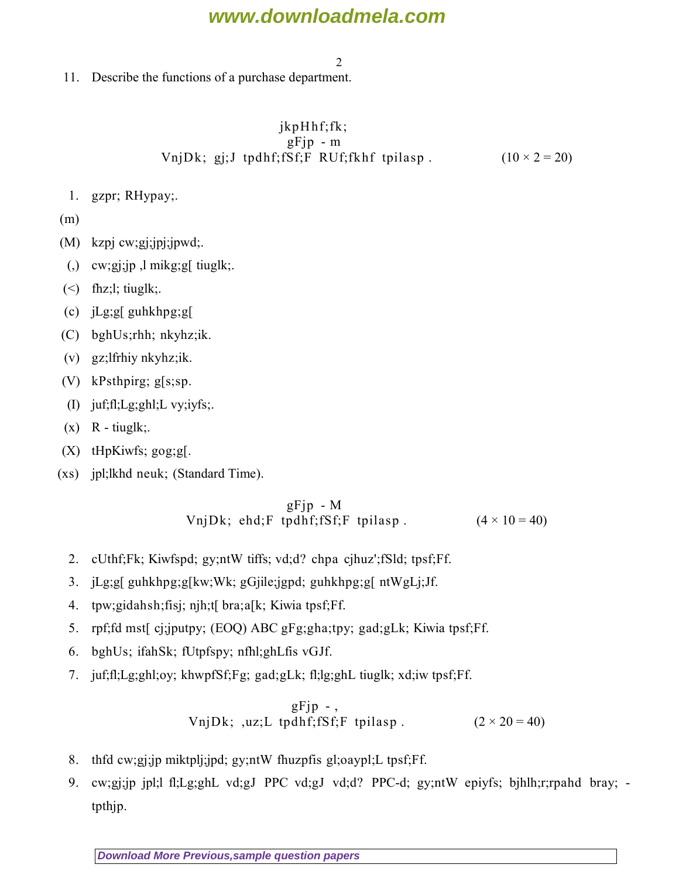# **www.downloadmela.com**

2

11. Describe the functions of a purchase department.

#### $jkpH$ hf;fk;  $gF$ jp - m VnjDk; gj;J tpdhf;fSf;F RUf;fkhf tpilasp .  $(10 \times 2 = 20)$

1. gzpr; RHypay;.

(m)

- (M) kzpj cw;gj;jpj;jpwd;.
- $\lambda$  cw;gi;jp, l mikg;g[ tiuglk;
- $(\le)$  fhz;l; tiuglk;
- (c) jLg;g[ guhkhpg;g[
- (C) bghUs;rhh; nkyhz;ik.
- (v) gz;lfrhiy nkyhz;ik.
- (V) kPsthpirg; g[s;sp.
- (I) juf;fl;Lg;ghl;L vy;iyfs;.
- $(x)$  R tiuglk;
- (X) tHpKiwfs; gog;g[.
- (xs) jpl;lkhd neuk; (Standard Time).

#### $gFjp - M$ VnjDk; ehd;F tpdhf;fSf;F tpilasp .  $(4 \times 10 = 40)$

- 2. cUthf;Fk; Kiwfspd; gy;ntW tiffs; vd;d? chpa cjhuz';fSld; tpsf;Ff.
- 3. jLg;g[ guhkhpg;g[kw;Wk; gGjile;jgpd; guhkhpg;g[ ntWgLj;Jf.
- 4. tpw;gidahsh;fisj; njh;t[ bra;a[k; Kiwia tpsf;Ff.
- 5. rpf;fd mst[ cj;jputpy; (EOQ) ABC gFg;gha;tpy; gad;gLk; Kiwia tpsf;Ff.
- 6. bghUs; ifahSk; fUtpfspy; nfhl;ghLfis vGJf.
- 7. juf;fl;Lg;ghl;oy; khwpfSf;Fg; gad;gLk; fl;lg;ghL tiuglk; xd;iw tpsf;Ff.

$$
gFjp-,
$$
  
UnjDk; ,uz;L tpdhf; fSf;F tplasp. (2 × 20 = 40)

- 8. thfd cw;gj;jp miktplj;jpd; gy;ntW fhuzpfis gl;oaypl;L tpsf;Ff.
- 9. cw;gj;jp jpl;l fl;Lg;ghL vd;gJ PPC vd;gJ vd;d? PPC-d; gy;ntW epiyfs; bjhlh;r;rpahd bray; tpthjp.